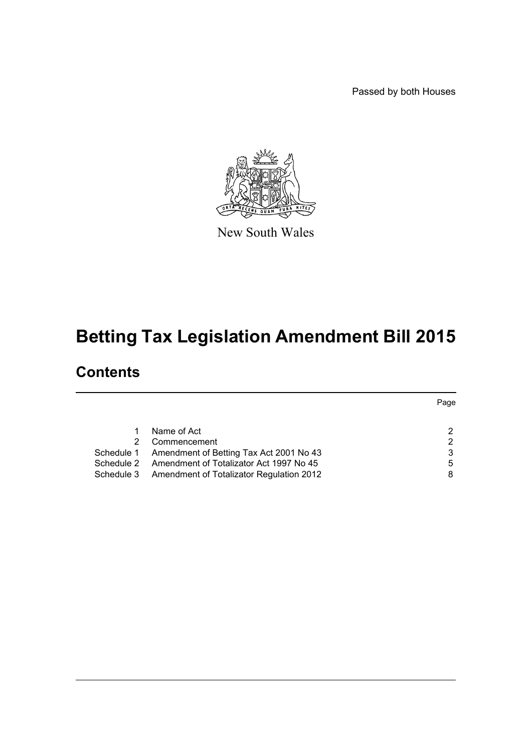Passed by both Houses



New South Wales

# **Betting Tax Legislation Amendment Bill 2015**

## **Contents**

|            |                                          | Page |
|------------|------------------------------------------|------|
|            |                                          |      |
|            | Name of Act                              |      |
|            | Commencement                             |      |
| Schedule 1 | Amendment of Betting Tax Act 2001 No 43  |      |
| Schedule 2 | Amendment of Totalizator Act 1997 No 45  | 5    |
| Schedule 3 | Amendment of Totalizator Regulation 2012 |      |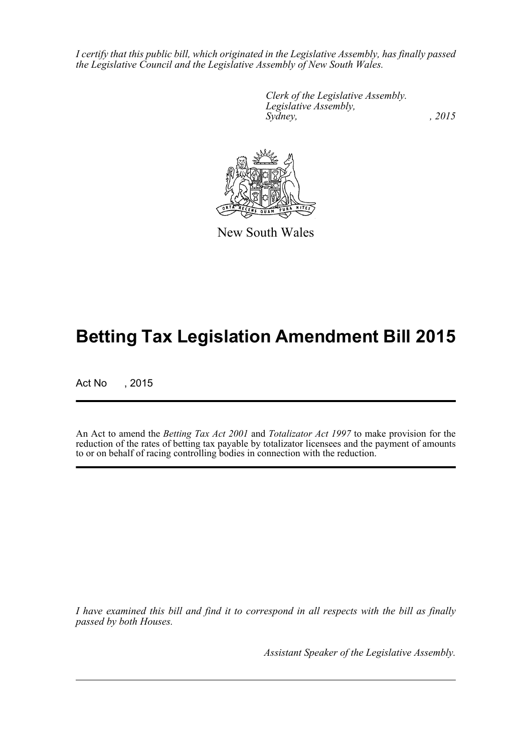*I certify that this public bill, which originated in the Legislative Assembly, has finally passed the Legislative Council and the Legislative Assembly of New South Wales.*

> *Clerk of the Legislative Assembly. Legislative Assembly, Sydney,* , 2015



New South Wales

## **Betting Tax Legislation Amendment Bill 2015**

Act No , 2015

An Act to amend the *Betting Tax Act 2001* and *Totalizator Act 1997* to make provision for the reduction of the rates of betting tax payable by totalizator licensees and the payment of amounts to or on behalf of racing controlling bodies in connection with the reduction.

*I have examined this bill and find it to correspond in all respects with the bill as finally passed by both Houses.*

*Assistant Speaker of the Legislative Assembly.*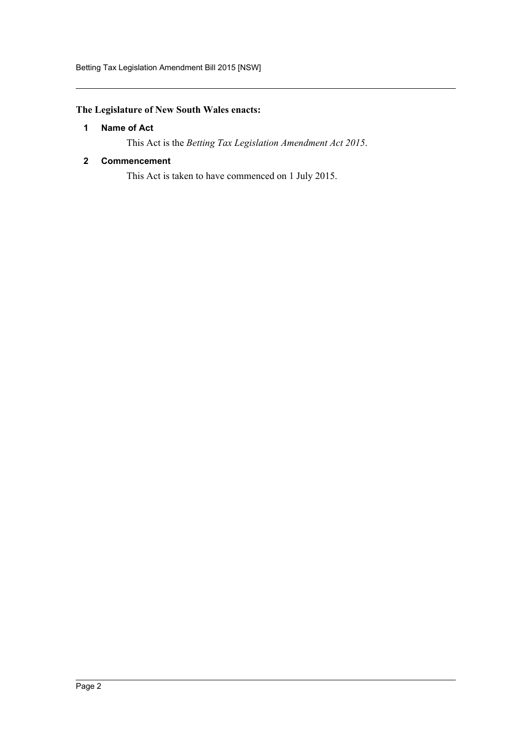#### <span id="page-2-0"></span>**The Legislature of New South Wales enacts:**

#### **1 Name of Act**

This Act is the *Betting Tax Legislation Amendment Act 2015*.

#### <span id="page-2-1"></span>**2 Commencement**

This Act is taken to have commenced on 1 July 2015.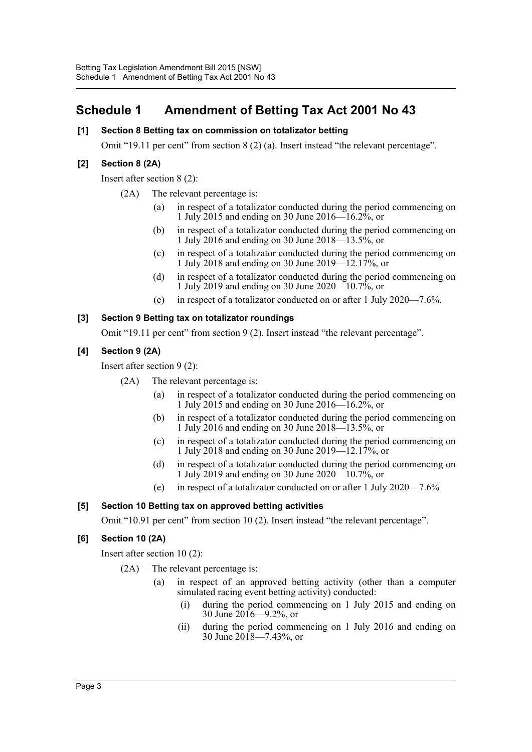## <span id="page-3-0"></span>**Schedule 1 Amendment of Betting Tax Act 2001 No 43**

#### **[1] Section 8 Betting tax on commission on totalizator betting**

Omit "19.11 per cent" from section 8 (2) (a). Insert instead "the relevant percentage".

#### **[2] Section 8 (2A)**

Insert after section 8 (2):

- (2A) The relevant percentage is:
	- (a) in respect of a totalizator conducted during the period commencing on 1 July 2015 and ending on 30 June 2016—16.2%, or
	- (b) in respect of a totalizator conducted during the period commencing on 1 July 2016 and ending on 30 June 2018—13.5%, or
	- (c) in respect of a totalizator conducted during the period commencing on 1 July 2018 and ending on 30 June 2019—12.17%, or
	- (d) in respect of a totalizator conducted during the period commencing on 1 July 2019 and ending on 30 June 2020—10.7%, or
	- (e) in respect of a totalizator conducted on or after 1 July 2020—7.6%.

#### **[3] Section 9 Betting tax on totalizator roundings**

Omit "19.11 per cent" from section 9 (2). Insert instead "the relevant percentage".

#### **[4] Section 9 (2A)**

Insert after section 9 (2):

- (2A) The relevant percentage is:
	- (a) in respect of a totalizator conducted during the period commencing on 1 July 2015 and ending on 30 June 2016—16.2%, or
	- (b) in respect of a totalizator conducted during the period commencing on 1 July 2016 and ending on 30 June 2018—13.5%, or
	- (c) in respect of a totalizator conducted during the period commencing on 1 July 2018 and ending on 30 June 2019—12.17%, or
	- (d) in respect of a totalizator conducted during the period commencing on 1 July 2019 and ending on 30 June 2020—10.7%, or
	- (e) in respect of a totalizator conducted on or after 1 July 2020—7.6%

#### **[5] Section 10 Betting tax on approved betting activities**

Omit "10.91 per cent" from section 10 (2). Insert instead "the relevant percentage".

#### **[6] Section 10 (2A)**

Insert after section 10 (2):

- (2A) The relevant percentage is:
	- (a) in respect of an approved betting activity (other than a computer simulated racing event betting activity) conducted:
		- (i) during the period commencing on 1 July 2015 and ending on 30 June 2016—9.2%, or
		- (ii) during the period commencing on 1 July 2016 and ending on 30 June 2018—7.43%, or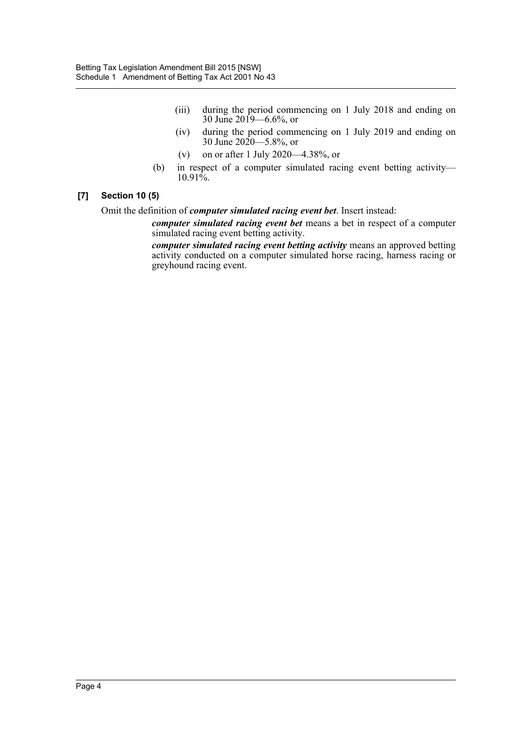- (iii) during the period commencing on 1 July 2018 and ending on 30 June 2019—6.6%, or
- (iv) during the period commencing on 1 July 2019 and ending on 30 June 2020—5.8%, or
- (v) on or after 1 July 2020—4.38%, or
- (b) in respect of a computer simulated racing event betting activity—  $10.91\%$ .

#### **[7] Section 10 (5)**

Omit the definition of *computer simulated racing event bet*. Insert instead:

*computer simulated racing event bet* means a bet in respect of a computer simulated racing event betting activity.

*computer simulated racing event betting activity* means an approved betting activity conducted on a computer simulated horse racing, harness racing or greyhound racing event.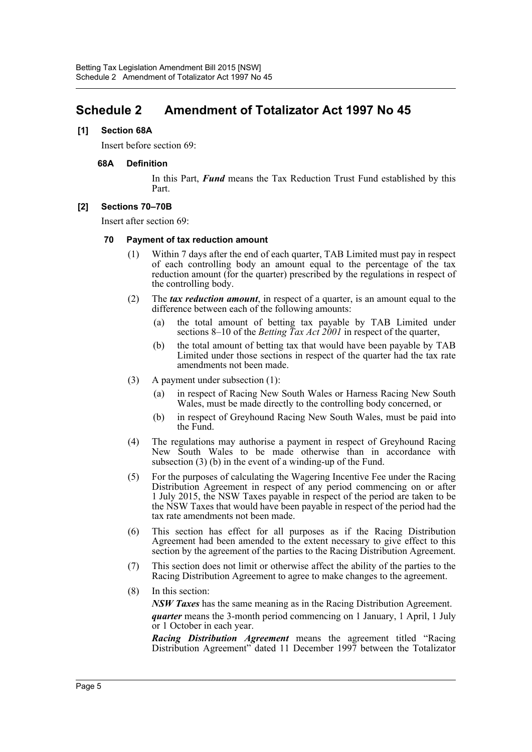### <span id="page-5-0"></span>**Schedule 2 Amendment of Totalizator Act 1997 No 45**

#### **[1] Section 68A**

Insert before section 69:

#### **68A Definition**

In this Part, *Fund* means the Tax Reduction Trust Fund established by this Part.

#### **[2] Sections 70–70B**

Insert after section 69:

#### **70 Payment of tax reduction amount**

- (1) Within 7 days after the end of each quarter, TAB Limited must pay in respect of each controlling body an amount equal to the percentage of the tax reduction amount (for the quarter) prescribed by the regulations in respect of the controlling body.
- (2) The *tax reduction amount*, in respect of a quarter, is an amount equal to the difference between each of the following amounts:
	- (a) the total amount of betting tax payable by TAB Limited under sections 8–10 of the *Betting Tax Act 2001* in respect of the quarter,
	- (b) the total amount of betting tax that would have been payable by TAB Limited under those sections in respect of the quarter had the tax rate amendments not been made.
- (3) A payment under subsection (1):
	- (a) in respect of Racing New South Wales or Harness Racing New South Wales, must be made directly to the controlling body concerned, or
	- (b) in respect of Greyhound Racing New South Wales, must be paid into the Fund.
- (4) The regulations may authorise a payment in respect of Greyhound Racing New South Wales to be made otherwise than in accordance with subsection (3) (b) in the event of a winding-up of the Fund.
- (5) For the purposes of calculating the Wagering Incentive Fee under the Racing Distribution Agreement in respect of any period commencing on or after 1 July 2015, the NSW Taxes payable in respect of the period are taken to be the NSW Taxes that would have been payable in respect of the period had the tax rate amendments not been made.
- (6) This section has effect for all purposes as if the Racing Distribution Agreement had been amended to the extent necessary to give effect to this section by the agreement of the parties to the Racing Distribution Agreement.
- (7) This section does not limit or otherwise affect the ability of the parties to the Racing Distribution Agreement to agree to make changes to the agreement.
- (8) In this section:

*NSW Taxes* has the same meaning as in the Racing Distribution Agreement. *quarter* means the 3-month period commencing on 1 January, 1 April, 1 July or 1 October in each year.

*Racing Distribution Agreement* means the agreement titled "Racing Distribution Agreement" dated 11 December 1997 between the Totalizator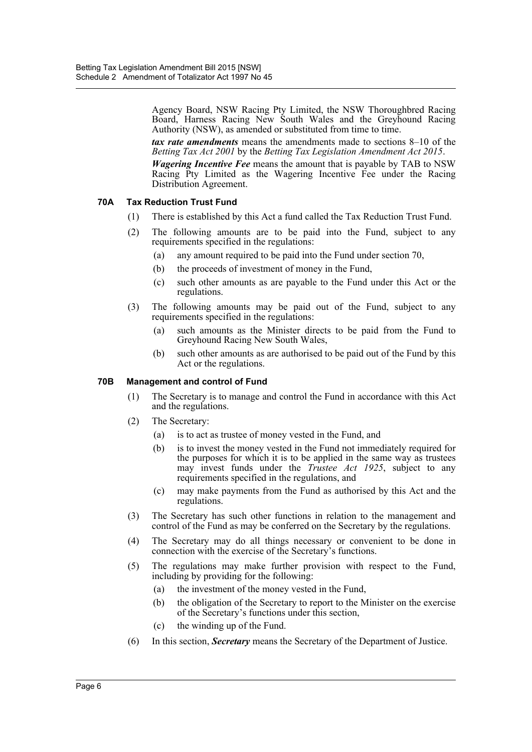Agency Board, NSW Racing Pty Limited, the NSW Thoroughbred Racing Board, Harness Racing New South Wales and the Greyhound Racing Authority (NSW), as amended or substituted from time to time.

*tax rate amendments* means the amendments made to sections 8–10 of the *Betting Tax Act 2001* by the *Betting Tax Legislation Amendment Act 2015*.

*Wagering Incentive Fee* means the amount that is payable by TAB to NSW Racing Pty Limited as the Wagering Incentive Fee under the Racing Distribution Agreement.

#### **70A Tax Reduction Trust Fund**

- (1) There is established by this Act a fund called the Tax Reduction Trust Fund.
- (2) The following amounts are to be paid into the Fund, subject to any requirements specified in the regulations:
	- (a) any amount required to be paid into the Fund under section 70,
	- (b) the proceeds of investment of money in the Fund,
	- (c) such other amounts as are payable to the Fund under this Act or the regulations.
- (3) The following amounts may be paid out of the Fund, subject to any requirements specified in the regulations:
	- (a) such amounts as the Minister directs to be paid from the Fund to Greyhound Racing New South Wales,
	- (b) such other amounts as are authorised to be paid out of the Fund by this Act or the regulations.

#### **70B Management and control of Fund**

- (1) The Secretary is to manage and control the Fund in accordance with this Act and the regulations.
- (2) The Secretary:
	- (a) is to act as trustee of money vested in the Fund, and
	- (b) is to invest the money vested in the Fund not immediately required for the purposes for which it is to be applied in the same way as trustees may invest funds under the *Trustee Act 1925*, subject to any requirements specified in the regulations, and
	- (c) may make payments from the Fund as authorised by this Act and the regulations.
- (3) The Secretary has such other functions in relation to the management and control of the Fund as may be conferred on the Secretary by the regulations.
- (4) The Secretary may do all things necessary or convenient to be done in connection with the exercise of the Secretary's functions.
- (5) The regulations may make further provision with respect to the Fund, including by providing for the following:
	- (a) the investment of the money vested in the Fund,
	- (b) the obligation of the Secretary to report to the Minister on the exercise of the Secretary's functions under this section,
	- (c) the winding up of the Fund.
- (6) In this section, *Secretary* means the Secretary of the Department of Justice.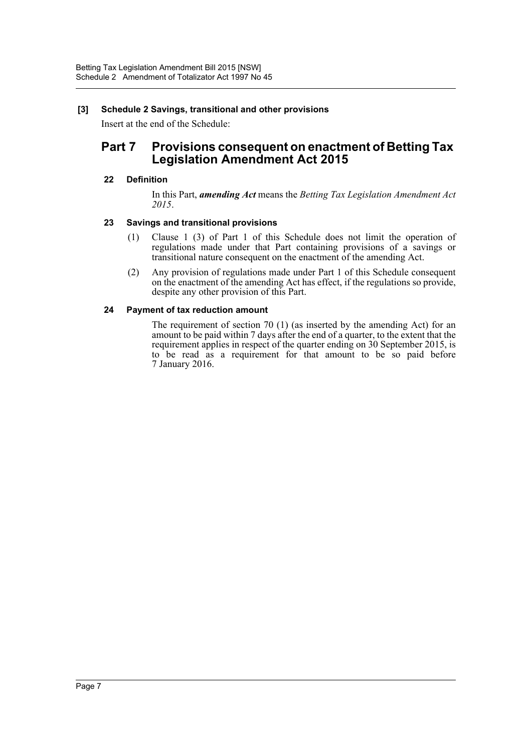#### **[3] Schedule 2 Savings, transitional and other provisions**

Insert at the end of the Schedule:

### **Part 7 Provisions consequent on enactment of Betting Tax Legislation Amendment Act 2015**

#### **22 Definition**

In this Part, *amending Act* means the *Betting Tax Legislation Amendment Act 2015*.

#### **23 Savings and transitional provisions**

- (1) Clause 1 (3) of Part 1 of this Schedule does not limit the operation of regulations made under that Part containing provisions of a savings or transitional nature consequent on the enactment of the amending Act.
- (2) Any provision of regulations made under Part 1 of this Schedule consequent on the enactment of the amending Act has effect, if the regulations so provide, despite any other provision of this Part.

#### **24 Payment of tax reduction amount**

The requirement of section 70 (1) (as inserted by the amending Act) for an amount to be paid within 7 days after the end of a quarter, to the extent that the requirement applies in respect of the quarter ending on 30 September 2015, is to be read as a requirement for that amount to be so paid before 7 January 2016.